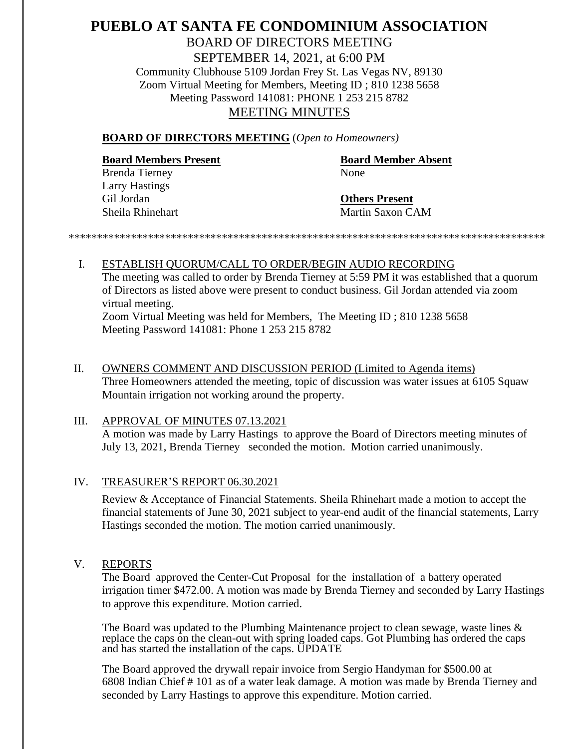## **PUEBLO AT SANTA FE CONDOMINIUM ASSOCIATION** BOARD OF DIRECTORS MEETING SEPTEMBER 14, 2021, at 6:00 PM Community Clubhouse 5109 Jordan Frey St. Las Vegas NV, 89130 Zoom Virtual Meeting for Members, Meeting ID ; 810 1238 5658 Meeting Password 141081: PHONE 1 253 215 8782 MEETING MINUTES

#### **BOARD OF DIRECTORS MEETING** (*Open to Homeowners)*

# **Board Members Present Board Member Absent**

Brenda Tierney None Larry Hastings Gil Jordan **Others Present**

Sheila Rhinehart Martin Saxon CAM

*\*\*\*\*\*\*\*\*\*\*\*\*\*\*\*\*\*\*\*\*\*\*\*\*\*\*\*\*\*\*\*\*\*\*\*\*\*\*\*\*\*\*\*\*\*\*\*\*\*\*\*\*\*\*\*\*\*\*\*\*\*\*\*\*\*\*\*\*\*\*\*\*\*\*\*\*\*\*\*\*\*\*\*\**

# I. ESTABLISH QUORUM/CALL TO ORDER/BEGIN AUDIO RECORDING The meeting was called to order by Brenda Tierney at 5:59 PM it was established that a quorum of Directors as listed above were present to conduct business. Gil Jordan attended via zoom virtual meeting.

Zoom Virtual Meeting was held for Members, The Meeting ID ; 810 1238 5658 Meeting Password 141081: Phone 1 253 215 8782

 II. OWNERS COMMENT AND DISCUSSION PERIOD (Limited to Agenda items) Three Homeowners attended the meeting, topic of discussion was water issues at 6105 Squaw Mountain irrigation not working around the property.

#### III. APPROVAL OF MINUTES 07.13.2021

A motion was made by Larry Hastings to approve the Board of Directors meeting minutes of July 13, 2021, Brenda Tierney seconded the motion. Motion carried unanimously.

### IV. TREASURER'S REPORT 06.30.2021

Review & Acceptance of Financial Statements. Sheila Rhinehart made a motion to accept the financial statements of June 30, 2021 subject to year-end audit of the financial statements, Larry Hastings seconded the motion. The motion carried unanimously.

### V. REPORTS

The Board approved the Center-Cut Proposal for the installation of a battery operated irrigation timer \$472.00. A motion was made by Brenda Tierney and seconded by Larry Hastings to approve this expenditure. Motion carried.

The Board was updated to the Plumbing Maintenance project to clean sewage, waste lines & replace the caps on the clean-out with spring loaded caps. Got Plumbing has ordered the caps and has started the installation of the caps. UPDATE

The Board approved the drywall repair invoice from Sergio Handyman for \$500.00 at 6808 Indian Chief # 101 as of a water leak damage. A motion was made by Brenda Tierney and seconded by Larry Hastings to approve this expenditure. Motion carried.